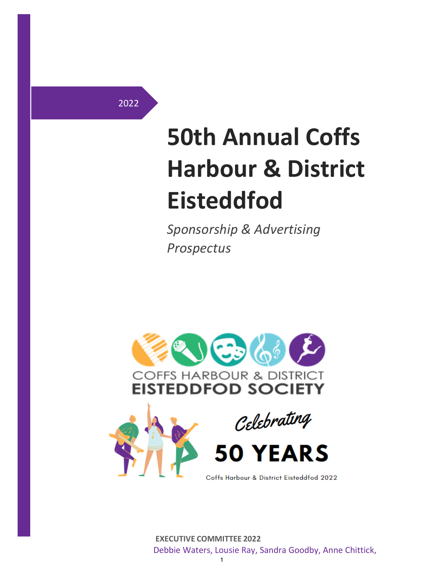2022

# **50th Annual Coffs Harbour & District Eisteddfod**

*Sponsorship & Advertising Prospectus*



 **EXECUTIVE COMMITTEE 2022** Debbie Waters, Lousie Ray, Sandra Goodby, Anne Chittick,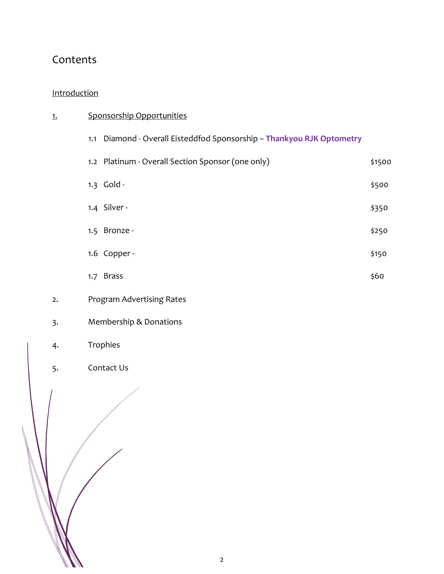# Contents

#### [Introduction](#page-1-0)

<span id="page-1-0"></span>

| <u>1.</u> | Sponsorship Opportunities                                                |        |  |  |  |  |
|-----------|--------------------------------------------------------------------------|--------|--|--|--|--|
|           | Diamond - Overall Eisteddfod Sponsorship - Thankyou RJK Optometry<br>1.1 |        |  |  |  |  |
|           | 1.2 Platinum - Overall Section Sponsor (one only)                        | \$1500 |  |  |  |  |
|           | 1.3 Gold -                                                               | \$500  |  |  |  |  |
|           | 1.4 Silver -                                                             | \$350  |  |  |  |  |
|           | 1.5 Bronze -                                                             | \$250  |  |  |  |  |
|           | 1.6 Copper -                                                             | \$150  |  |  |  |  |
|           | 1.7 Brass                                                                | \$60   |  |  |  |  |
| 2.        | Program Advertising Rates                                                |        |  |  |  |  |
| 3.        | Membership & Donations                                                   |        |  |  |  |  |
| 4.        | Trophies                                                                 |        |  |  |  |  |
| 5.        | Contact Us                                                               |        |  |  |  |  |
|           |                                                                          |        |  |  |  |  |
|           |                                                                          |        |  |  |  |  |
|           |                                                                          |        |  |  |  |  |
|           |                                                                          |        |  |  |  |  |
|           |                                                                          |        |  |  |  |  |
|           |                                                                          |        |  |  |  |  |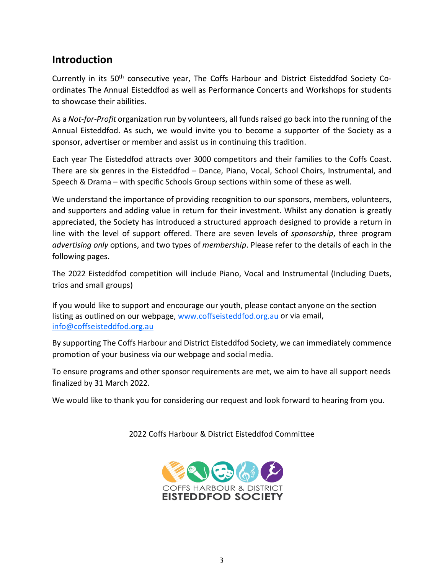## **Introduction**

Currently in its 50<sup>th</sup> consecutive year, The Coffs Harbour and District Eisteddfod Society Coordinates The Annual Eisteddfod as well as Performance Concerts and Workshops for students to showcase their abilities.

As a *Not-for-Profit* organization run by volunteers, all funds raised go back into the running of the Annual Eisteddfod. As such, we would invite you to become a supporter of the Society as a sponsor, advertiser or member and assist us in continuing this tradition.

Each year The Eisteddfod attracts over 3000 competitors and their families to the Coffs Coast. There are six genres in the Eisteddfod – Dance, Piano, Vocal, School Choirs, Instrumental, and Speech & Drama – with specific Schools Group sections within some of these as well.

We understand the importance of providing recognition to our sponsors, members, volunteers, and supporters and adding value in return for their investment. Whilst any donation is greatly appreciated, the Society has introduced a structured approach designed to provide a return in line with the level of support offered. There are seven levels of *sponsorship*, three program *advertising only* options, and two types of *membership*. Please refer to the details of each in the following pages.

The 2022 Eisteddfod competition will include Piano, Vocal and Instrumental (Including Duets, trios and small groups)

If you would like to support and encourage our youth, please contact anyone on the section listing as outlined on our webpage, [www.coffseisteddfod.org.au](about:blank) or via email, [info@coffseisteddfod.org.au](mailto:info@coffseisteddfod.org.au)

By supporting The Coffs Harbour and District Eisteddfod Society, we can immediately commence promotion of your business via our webpage and social media.

To ensure programs and other sponsor requirements are met, we aim to have all support needs finalized by 31 March 2022.

We would like to thank you for considering our request and look forward to hearing from you.

2022 Coffs Harbour & District Eisteddfod Committee

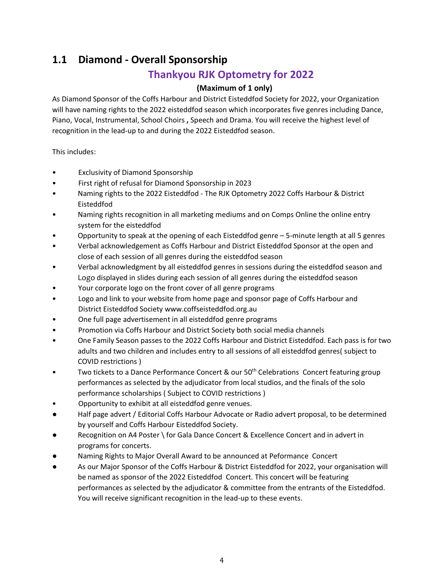# **1.1 Diamond - Overall Sponsorship**

## **Thankyou RJK Optometry for 2022**

#### **(Maximum of 1 only)**

As Diamond Sponsor of the Coffs Harbour and District Eisteddfod Society for 2022, your Organization will have naming rights to the 2022 eisteddfod season which incorporates five genres including Dance, Piano, Vocal, Instrumental, School Choirs **,** Speech and Drama. You will receive the highest level of recognition in the lead-up to and during the 2022 Eisteddfod season.

This includes:

- Exclusivity of Diamond Sponsorship
- First right of refusal for Diamond Sponsorship in 2023
- Naming rights to the 2022 Eisteddfod The RJK Optometry 2022 Coffs Harbour & District Eisteddfod
- Naming rights recognition in all marketing mediums and on Comps Online the online entry system for the eisteddfod
- Opportunity to speak at the opening of each Eisteddfod genre 5-minute length at all 5 genres
- Verbal acknowledgement as Coffs Harbour and District Eisteddfod Sponsor at the open and close of each session of all genres during the eisteddfod season
- Verbal acknowledgment by all eisteddfod genres in sessions during the eisteddfod season and Logo displayed in slides during each session of all genres during the eisteddfod season
- Your corporate logo on the front cover of all genre programs
- Logo and link to your website from home page and sponsor page of Coffs Harbour and District Eisteddfod Society www.coffseisteddfod.org.au
- One full page advertisement in all eisteddfod genre programs
- Promotion via Coffs Harbour and District Society both social media channels
- One Family Season passes to the 2022 Coffs Harbour and District Eisteddfod. Each pass is for two adults and two children and includes entry to all sessions of all eisteddfod genres( subject to COVID restrictions )
- Two tickets to a Dance Performance Concert & our 50<sup>th</sup> Celebrations Concert featuring group performances as selected by the adjudicator from local studios, and the finals of the solo performance scholarships ( Subject to COVID restrictions )
- Opportunity to exhibit at all eisteddfod genre venues.
- Half page advert / Editorial Coffs Harbour Advocate or Radio advert proposal, to be determined by yourself and Coffs Harbour Eisteddfod Society.
- Recognition on A4 Poster \ for Gala Dance Concert & Excellence Concert and in advert in programs for concerts.
- Naming Rights to Major Overall Award to be announced at Peformance Concert
- As our Major Sponsor of the Coffs Harbour & District Eisteddfod for 2022, your organisation will be named as sponsor of the 2022 Eisteddfod Concert. This concert will be featuring performances as selected by the adjudicator & committee from the entrants of the Eisteddfod. You will receive significant recognition in the lead-up to these events.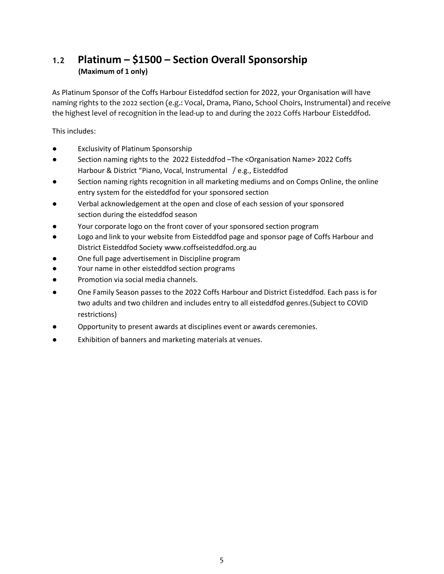## **1.2 Platinum – \$1500 – Section Overall Sponsorship (Maximum of 1 only)**

As Platinum Sponsor of the Coffs Harbour Eisteddfod section for 2022, your Organisation will have naming rights to the 2022 section (e.g.: Vocal, Drama, Piano, School Choirs, Instrumental) and receive the highest level of recognition in the lead-up to and during the 2022 Coffs Harbour Eisteddfod.

This includes:

- **Exclusivity of Platinum Sponsorship**
- Section naming rights to the 2022 Eisteddfod –The <Organisation Name> 2022 Coffs Harbour & District "Piano, Vocal, Instrumental / e.g., Eisteddfod
- Section naming rights recognition in all marketing mediums and on Comps Online, the online entry system for the eisteddfod for your sponsored section
- Verbal acknowledgement at the open and close of each session of your sponsored section during the eisteddfod season
- Your corporate logo on the front cover of your sponsored section program
- Logo and link to your website from Eisteddfod page and sponsor page of Coffs Harbour and District Eisteddfod Society [www.coffseisteddfod.org.au](about:blank)
- One full page advertisement in Discipline program
- Your name in other eisteddfod section programs
- Promotion via social media channels.
- One Family Season passes to the 2022 Coffs Harbour and District Eisteddfod. Each pass is for two adults and two children and includes entry to all eisteddfod genres.(Subject to COVID restrictions)
- Opportunity to present awards at disciplines event or awards ceremonies.
- Exhibition of banners and marketing materials at venues.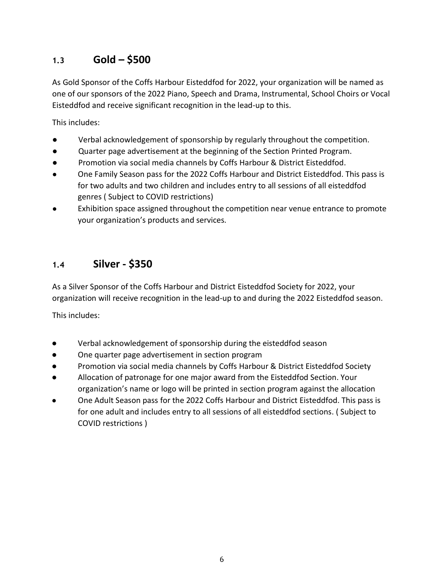## **1.3 Gold – \$500**

As Gold Sponsor of the Coffs Harbour Eisteddfod for 2022, your organization will be named as one of our sponsors of the 2022 Piano, Speech and Drama, Instrumental, School Choirs or Vocal Eisteddfod and receive significant recognition in the lead-up to this.

This includes:

- Verbal acknowledgement of sponsorship by regularly throughout the competition.
- Quarter page advertisement at the beginning of the Section Printed Program.
- Promotion via social media channels by Coffs Harbour & District Eisteddfod.
- One Family Season pass for the 2022 Coffs Harbour and District Eisteddfod. This pass is for two adults and two children and includes entry to all sessions of all eisteddfod genres ( Subject to COVID restrictions)
- Exhibition space assigned throughout the competition near venue entrance to promote your organization's products and services.

#### <span id="page-5-0"></span>**1.4 Silver - \$350**

As a Silver Sponsor of the Coffs Harbour and District Eisteddfod Society for 2022, your organization will receive recognition in the lead-up to and during the 2022 Eisteddfod season.

This includes:

- Verbal acknowledgement of sponsorship during the eisteddfod season
- One quarter page advertisement in section program
- Promotion via social media channels by Coffs Harbour & District Eisteddfod Society
- Allocation of patronage for one major award from the Eisteddfod Section. Your organization's name or logo will be printed in section program against the allocation
- One Adult Season pass for the 2022 Coffs Harbour and District Eisteddfod. This pass is for one adult and includes entry to all sessions of all eisteddfod sections. ( Subject to COVID restrictions )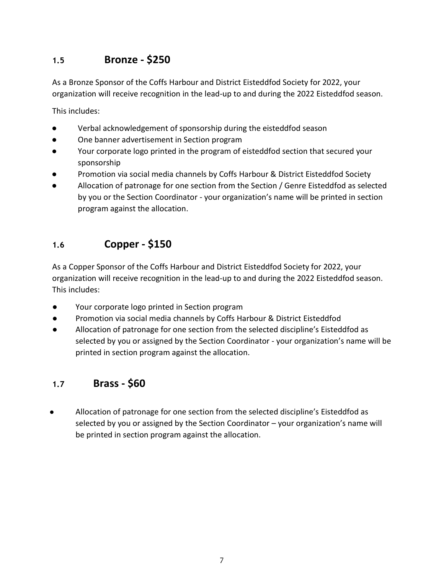#### <span id="page-6-0"></span>**1.5 Bronze - \$250**

As a Bronze Sponsor of the Coffs Harbour and District Eisteddfod Society for 2022, your organization will receive recognition in the lead-up to and during the 2022 Eisteddfod season.

This includes:

- Verbal acknowledgement of sponsorship during the eisteddfod season
- One banner advertisement in Section program
- Your corporate logo printed in the program of eisteddfod section that secured your sponsorship
- Promotion via social media channels by Coffs Harbour & District Eisteddfod Society
- Allocation of patronage for one section from the Section / Genre Eisteddfod as selected by you or the Section Coordinator - your organization's name will be printed in section program against the allocation.

#### <span id="page-6-1"></span>**1.6 Copper - \$150**

As a Copper Sponsor of the Coffs Harbour and District Eisteddfod Society for 2022, your organization will receive recognition in the lead-up to and during the 2022 Eisteddfod season. This includes:

- Your corporate logo printed in Section program
- Promotion via social media channels by Coffs Harbour & District Eisteddfod
- Allocation of patronage for one section from the selected discipline's Eisteddfod as selected by you or assigned by the Section Coordinator - your organization's name will be printed in section program against the allocation.

#### <span id="page-6-2"></span>**1.7 Brass - \$60**

Allocation of patronage for one section from the selected discipline's Eisteddfod as selected by you or assigned by the Section Coordinator – your organization's name will be printed in section program against the allocation.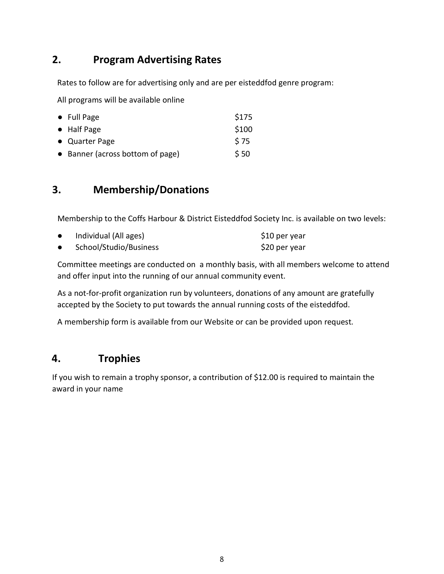## <span id="page-7-0"></span>**2. Program Advertising Rates**

Rates to follow are for advertising only and are per eisteddfod genre program:

All programs will be available online

| $\bullet$ Full Page              | \$175 |
|----------------------------------|-------|
| • Half Page                      | \$100 |
| • Quarter Page                   | S 75  |
| • Banner (across bottom of page) | \$50  |

## <span id="page-7-1"></span>**3. Membership/Donations**

Membership to the Coffs Harbour & District Eisteddfod Society Inc. is available on two levels:

| Individual (All ages)  | \$10 per year |
|------------------------|---------------|
| School/Studio/Business | \$20 per year |

Committee meetings are conducted on a monthly basis, with all members welcome to attend and offer input into the running of our annual community event.

As a not-for-profit organization run by volunteers, donations of any amount are gratefully accepted by the Society to put towards the annual running costs of the eisteddfod.

A membership form is available from our Website or can be provided upon request.

## **4. Trophies**

If you wish to remain a trophy sponsor, a contribution of \$12.00 is required to maintain the award in your name